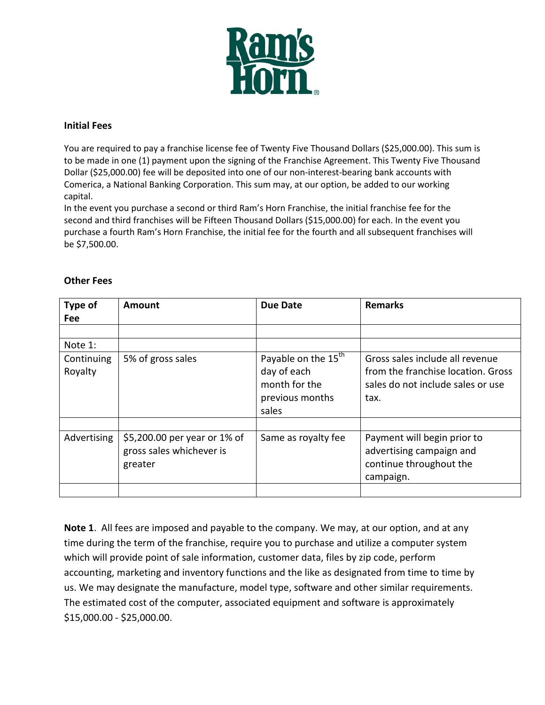

## **Initial Fees**

You are required to pay a franchise license fee of Twenty Five Thousand Dollars (\$25,000.00). This sum is to be made in one (1) payment upon the signing of the Franchise Agreement. This Twenty Five Thousand Dollar (\$25,000.00) fee will be deposited into one of our non-interest-bearing bank accounts with Comerica, a National Banking Corporation. This sum may, at our option, be added to our working capital.

In the event you purchase a second or third Ram's Horn Franchise, the initial franchise fee for the second and third franchises will be Fifteen Thousand Dollars (\$15,000.00) for each. In the event you purchase a fourth Ram's Horn Franchise, the initial fee for the fourth and all subsequent franchises will be \$7,500.00.

| Type of<br><b>Fee</b> | <b>Amount</b>                                                       | <b>Due Date</b>                                                                             | <b>Remarks</b>                                                                                                     |
|-----------------------|---------------------------------------------------------------------|---------------------------------------------------------------------------------------------|--------------------------------------------------------------------------------------------------------------------|
|                       |                                                                     |                                                                                             |                                                                                                                    |
| Note 1:               |                                                                     |                                                                                             |                                                                                                                    |
| Continuing<br>Royalty | 5% of gross sales                                                   | Payable on the 15 <sup>th</sup><br>day of each<br>month for the<br>previous months<br>sales | Gross sales include all revenue<br>from the franchise location. Gross<br>sales do not include sales or use<br>tax. |
| Advertising           | \$5,200.00 per year or 1% of<br>gross sales whichever is<br>greater | Same as royalty fee                                                                         | Payment will begin prior to<br>advertising campaign and<br>continue throughout the<br>campaign.                    |

## **Other Fees**

**Note 1**. All fees are imposed and payable to the company. We may, at our option, and at any time during the term of the franchise, require you to purchase and utilize a computer system which will provide point of sale information, customer data, files by zip code, perform accounting, marketing and inventory functions and the like as designated from time to time by us. We may designate the manufacture, model type, software and other similar requirements. The estimated cost of the computer, associated equipment and software is approximately \$15,000.00 - \$25,000.00.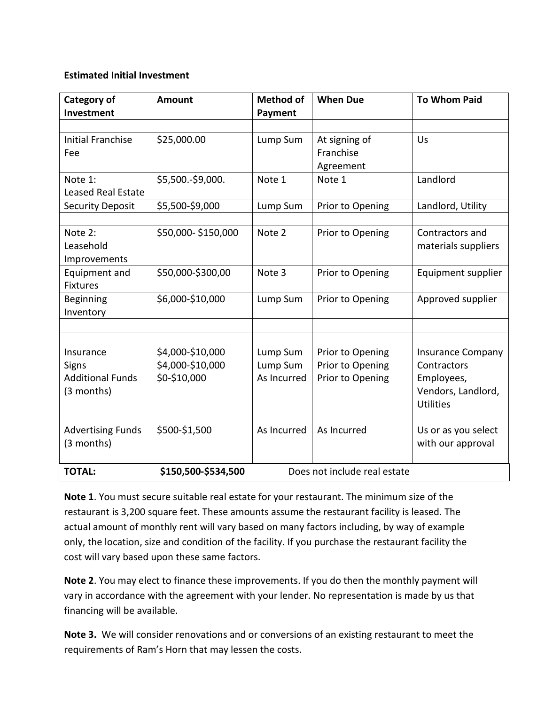## **Estimated Initial Investment**

| <b>Category of</b>        | <b>Amount</b>       | <b>Method of</b>             | <b>When Due</b>  | <b>To Whom Paid</b>      |
|---------------------------|---------------------|------------------------------|------------------|--------------------------|
| Investment                |                     | <b>Payment</b>               |                  |                          |
|                           |                     |                              |                  |                          |
| <b>Initial Franchise</b>  | \$25,000.00         | Lump Sum                     | At signing of    | Us                       |
| Fee                       |                     |                              | Franchise        |                          |
|                           |                     |                              | Agreement        |                          |
| Note 1:                   | \$5,500.-\$9,000.   | Note 1                       | Note 1           | Landlord                 |
| <b>Leased Real Estate</b> |                     |                              |                  |                          |
| <b>Security Deposit</b>   | \$5,500-\$9,000     | Lump Sum                     | Prior to Opening | Landlord, Utility        |
|                           |                     |                              |                  |                          |
| Note 2:                   | \$50,000-\$150,000  | Note 2                       | Prior to Opening | Contractors and          |
| Leasehold                 |                     |                              |                  | materials suppliers      |
| Improvements              |                     |                              |                  |                          |
| Equipment and             | \$50,000-\$300,00   | Note 3                       | Prior to Opening | Equipment supplier       |
| <b>Fixtures</b>           |                     |                              |                  |                          |
| Beginning                 | \$6,000-\$10,000    | Lump Sum                     | Prior to Opening | Approved supplier        |
| Inventory                 |                     |                              |                  |                          |
|                           |                     |                              |                  |                          |
|                           |                     |                              |                  |                          |
| Insurance                 | \$4,000-\$10,000    | Lump Sum                     | Prior to Opening | <b>Insurance Company</b> |
| <b>Signs</b>              | \$4,000-\$10,000    | Lump Sum                     | Prior to Opening | Contractors              |
| <b>Additional Funds</b>   | \$0-\$10,000        | As Incurred                  | Prior to Opening | Employees,               |
| (3 months)                |                     |                              |                  | Vendors, Landlord,       |
|                           |                     |                              |                  | <b>Utilities</b>         |
|                           |                     |                              |                  |                          |
| <b>Advertising Funds</b>  | \$500-\$1,500       | As Incurred                  | As Incurred      | Us or as you select      |
| (3 months)                |                     |                              |                  | with our approval        |
|                           |                     |                              |                  |                          |
| <b>TOTAL:</b>             | \$150,500-\$534,500 | Does not include real estate |                  |                          |

**Note 1**. You must secure suitable real estate for your restaurant. The minimum size of the restaurant is 3,200 square feet. These amounts assume the restaurant facility is leased. The actual amount of monthly rent will vary based on many factors including, by way of example only, the location, size and condition of the facility. If you purchase the restaurant facility the cost will vary based upon these same factors.

**Note 2**. You may elect to finance these improvements. If you do then the monthly payment will vary in accordance with the agreement with your lender. No representation is made by us that financing will be available.

**Note 3.** We will consider renovations and or conversions of an existing restaurant to meet the requirements of Ram's Horn that may lessen the costs.